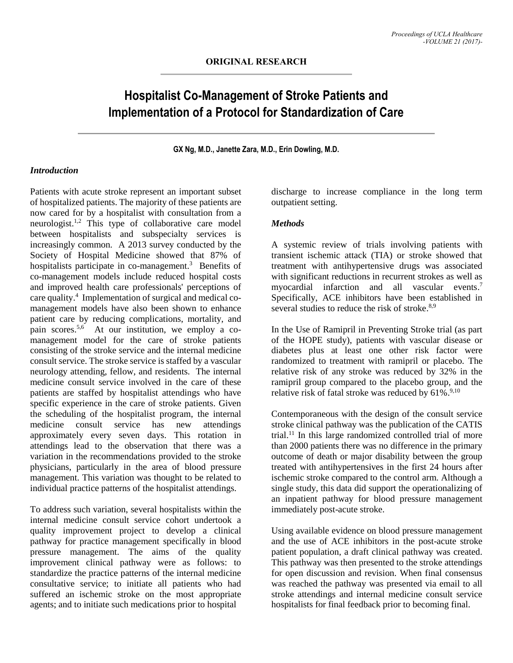# **Hospitalist Co-Management of Stroke Patients and Implementation of a Protocol for Standardization of Care**

**GX Ng, M.D., Janette Zara, M.D., Erin Dowling, M.D.**

#### *Introduction*

Patients with acute stroke represent an important subset of hospitalized patients. The majority of these patients are now cared for by a hospitalist with consultation from a neurologist. 1,2 This type of collaborative care model between hospitalists and subspecialty services is increasingly common. A 2013 survey conducted by the Society of Hospital Medicine showed that 87% of hospitalists participate in co-management.<sup>3</sup> Benefits of co-management models include reduced hospital costs and improved health care professionals' perceptions of care quality. 4 Implementation of surgical and medical comanagement models have also been shown to enhance patient care by reducing complications, mortality, and pain scores.<sup>5,6</sup> At our institution, we employ a comanagement model for the care of stroke patients consisting of the stroke service and the internal medicine consult service. The stroke service is staffed by a vascular neurology attending, fellow, and residents. The internal medicine consult service involved in the care of these patients are staffed by hospitalist attendings who have specific experience in the care of stroke patients. Given the scheduling of the hospitalist program, the internal medicine consult service has new attendings approximately every seven days. This rotation in attendings lead to the observation that there was a variation in the recommendations provided to the stroke physicians, particularly in the area of blood pressure management. This variation was thought to be related to individual practice patterns of the hospitalist attendings.

To address such variation, several hospitalists within the internal medicine consult service cohort undertook a quality improvement project to develop a clinical pathway for practice management specifically in blood pressure management. The aims of the quality improvement clinical pathway were as follows: to standardize the practice patterns of the internal medicine consultative service; to initiate all patients who had suffered an ischemic stroke on the most appropriate agents; and to initiate such medications prior to hospital

discharge to increase compliance in the long term outpatient setting.

#### *Methods*

A systemic review of trials involving patients with transient ischemic attack (TIA) or stroke showed that treatment with antihypertensive drugs was associated with significant reductions in recurrent strokes as well as myocardial infarction and all vascular events. 7 Specifically, ACE inhibitors have been established in several studies to reduce the risk of stroke.<sup>8,9</sup>

In the Use of Ramipril in Preventing Stroke trial (as part of the HOPE study), patients with vascular disease or diabetes plus at least one other risk factor were randomized to treatment with ramipril or placebo. The relative risk of any stroke was reduced by 32% in the ramipril group compared to the placebo group, and the relative risk of fatal stroke was reduced by 61%.<sup>9,10</sup>

Contemporaneous with the design of the consult service stroke clinical pathway was the publication of the CATIS trial. <sup>11</sup> In this large randomized controlled trial of more than 2000 patients there was no difference in the primary outcome of death or major disability between the group treated with antihypertensives in the first 24 hours after ischemic stroke compared to the control arm. Although a single study, this data did support the operationalizing of an inpatient pathway for blood pressure management immediately post-acute stroke.

Using available evidence on blood pressure management and the use of ACE inhibitors in the post-acute stroke patient population, a draft clinical pathway was created. This pathway was then presented to the stroke attendings for open discussion and revision. When final consensus was reached the pathway was presented via email to all stroke attendings and internal medicine consult service hospitalists for final feedback prior to becoming final.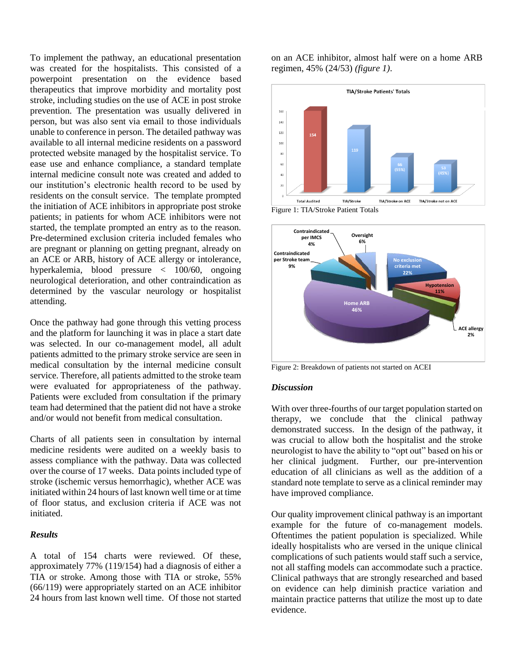To implement the pathway, an educational presentation was created for the hospitalists. This consisted of a powerpoint presentation on the evidence based therapeutics that improve morbidity and mortality post stroke, including studies on the use of ACE in post stroke prevention. The presentation was usually delivered in person, but was also sent via email to those individuals unable to conference in person. The detailed pathway was available to all internal medicine residents on a password protected website managed by the hospitalist service. To ease use and enhance compliance, a standard template internal medicine consult note was created and added to our institution's electronic health record to be used by residents on the consult service. The template prompted the initiation of ACE inhibitors in appropriate post stroke patients; in patients for whom ACE inhibitors were not started, the template prompted an entry as to the reason. Pre-determined exclusion criteria included females who are pregnant or planning on getting pregnant, already on an ACE or ARB, history of ACE allergy or intolerance, hyperkalemia, blood pressure < 100/60, ongoing neurological deterioration, and other contraindication as determined by the vascular neurology or hospitalist attending.

Once the pathway had gone through this vetting process and the platform for launching it was in place a start date was selected. In our co-management model, all adult patients admitted to the primary stroke service are seen in medical consultation by the internal medicine consult service. Therefore, all patients admitted to the stroke team were evaluated for appropriateness of the pathway. Patients were excluded from consultation if the primary team had determined that the patient did not have a stroke and/or would not benefit from medical consultation.

Charts of all patients seen in consultation by internal medicine residents were audited on a weekly basis to assess compliance with the pathway. Data was collected over the course of 17 weeks. Data points included type of stroke (ischemic versus hemorrhagic), whether ACE was initiated within 24 hours of last known well time or at time of floor status, and exclusion criteria if ACE was not initiated.

## *Results*

A total of 154 charts were reviewed. Of these, approximately 77% (119/154) had a diagnosis of either a TIA or stroke. Among those with TIA or stroke, 55% (66/119) were appropriately started on an ACE inhibitor 24 hours from last known well time. Of those not started on an ACE inhibitor, almost half were on a home ARB regimen, 45% (24/53) *(figure 1)*.



Figure 1: TIA/Stroke Patient Totals



Figure 2: Breakdown of patients not started on ACEI

## *Discussion*

With over three-fourths of our target population started on therapy, we conclude that the clinical pathway demonstrated success. In the design of the pathway, it was crucial to allow both the hospitalist and the stroke neurologist to have the ability to "opt out" based on his or her clinical judgment. Further, our pre-intervention education of all clinicians as well as the addition of a standard note template to serve as a clinical reminder may have improved compliance.

Our quality improvement clinical pathway is an important example for the future of co-management models. Oftentimes the patient population is specialized. While ideally hospitalists who are versed in the unique clinical complications of such patients would staff such a service, not all staffing models can accommodate such a practice. Clinical pathways that are strongly researched and based on evidence can help diminish practice variation and maintain practice patterns that utilize the most up to date evidence.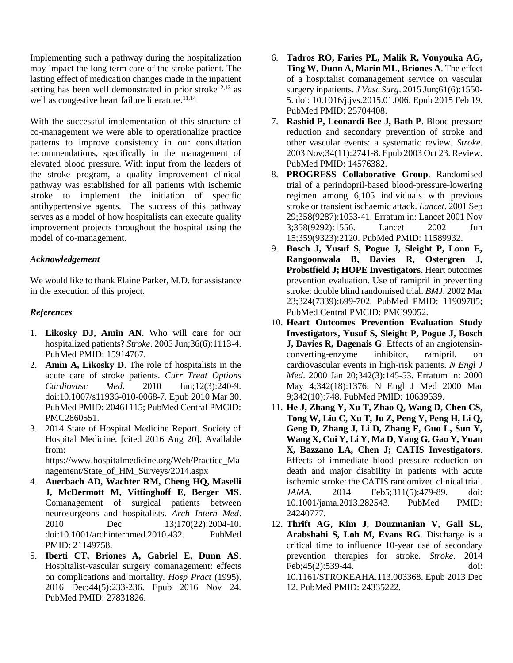Implementing such a pathway during the hospitalization may impact the long term care of the stroke patient. The lasting effect of medication changes made in the inpatient setting has been well demonstrated in prior stroke<sup>12,13</sup> as well as congestive heart failure literature.<sup>11,14</sup>

With the successful implementation of this structure of co-management we were able to operationalize practice patterns to improve consistency in our consultation recommendations, specifically in the management of elevated blood pressure. With input from the leaders of the stroke program, a quality improvement clinical pathway was established for all patients with ischemic stroke to implement the initiation of specific antihypertensive agents. The success of this pathway serves as a model of how hospitalists can execute quality improvement projects throughout the hospital using the model of co-management.

# *Acknowledgement*

We would like to thank Elaine Parker, M.D. for assistance in the execution of this project.

# *References*

- 1. **Likosky DJ, Amin AN**. Who will care for our hospitalized patients? *Stroke*. 2005 Jun;36(6):1113-4. PubMed PMID: 15914767.
- 2. **Amin A, Likosky D**. The role of hospitalists in the acute care of stroke patients. *Curr Treat Options Cardiovasc Med*. 2010 Jun;12(3):240-9. doi:10.1007/s11936-010-0068-7. Epub 2010 Mar 30. PubMed PMID: 20461115; PubMed Central PMCID: PMC2860551.
- 3. 2014 State of Hospital Medicine Report. Society of Hospital Medicine. [cited 2016 Aug 20]. Available from:

https://www.hospitalmedicine.org/Web/Practice\_Ma nagement/State of HM Surveys/2014.aspx

- 4. **Auerbach AD, Wachter RM, Cheng HQ, Maselli J, McDermott M, Vittinghoff E, Berger MS**. Comanagement of surgical patients between neurosurgeons and hospitalists. *Arch Intern Med*. 2010 Dec 13;170(22):2004-10. doi:10.1001/archinternmed.2010.432. PubMed PMID: 21149758.
- 5. **Iberti CT, Briones A, Gabriel E, Dunn AS**. Hospitalist-vascular surgery comanagement: effects on complications and mortality. *Hosp Pract* (1995). 2016 Dec;44(5):233-236. Epub 2016 Nov 24. PubMed PMID: 27831826.
- 6. **Tadros RO, Faries PL, Malik R, Vouyouka AG, Ting W, Dunn A, Marin ML, Briones A**. The effect of a hospitalist comanagement service on vascular surgery inpatients. *J Vasc Surg*. 2015 Jun;61(6):1550- 5. doi: 10.1016/j.jvs.2015.01.006. Epub 2015 Feb 19. PubMed PMID: 25704408.
- 7. **Rashid P, Leonardi-Bee J, Bath P**. Blood pressure reduction and secondary prevention of stroke and other vascular events: a systematic review. *Stroke*. 2003 Nov;34(11):2741-8. Epub 2003 Oct 23. Review. PubMed PMID: 14576382.
- 8. **PROGRESS Collaborative Group**. Randomised trial of a perindopril-based blood-pressure-lowering regimen among 6,105 individuals with previous stroke or transient ischaemic attack. *Lancet*. 2001 Sep 29;358(9287):1033-41. Erratum in: Lancet 2001 Nov 3;358(9292):1556. Lancet 2002 Jun 15;359(9323):2120. PubMed PMID: 11589932.
- 9. **Bosch J, Yusuf S, Pogue J, Sleight P, Lonn E, Rangoonwala B, Davies R, Ostergren J, Probstfield J; HOPE Investigators**. Heart outcomes prevention evaluation. Use of ramipril in preventing stroke: double blind randomised trial. *BMJ*. 2002 Mar 23;324(7339):699-702. PubMed PMID: 11909785; PubMed Central PMCID: PMC99052.
- 10. **Heart Outcomes Prevention Evaluation Study Investigators, Yusuf S, Sleight P, Pogue J, Bosch J, Davies R, Dagenais G**. Effects of an angiotensinconverting-enzyme inhibitor, ramipril, on cardiovascular events in high-risk patients. *N Engl J Med*. 2000 Jan 20;342(3):145-53. Erratum in: 2000 May 4;342(18):1376. N Engl J Med 2000 Mar 9;342(10):748. PubMed PMID: 10639539.
- 11. **He J, Zhang Y, Xu T, Zhao Q, Wang D, Chen CS, Tong W, Liu C, Xu T, Ju Z, Peng Y, Peng H, Li Q, Geng D, Zhang J, Li D, Zhang F, Guo L, Sun Y, Wang X, Cui Y, Li Y, Ma D, Yang G, Gao Y, Yuan X, Bazzano LA, Chen J; CATIS Investigators**. Effects of immediate blood pressure reduction on death and major disability in patients with acute ischemic stroke: the CATIS randomized clinical trial. *JAMA*. 2014 Feb5;311(5):479-89. doi: 10.1001/jama.2013.282543. PubMed PMID: 24240777.
- 12. **Thrift AG, Kim J, Douzmanian V, Gall SL, Arabshahi S, Loh M, Evans RG**. Discharge is a critical time to influence 10-year use of secondary prevention therapies for stroke. *Stroke*. 2014 Feb;45(2):539-44. doi: 10.1161/STROKEAHA.113.003368. Epub 2013 Dec 12. PubMed PMID: 24335222.